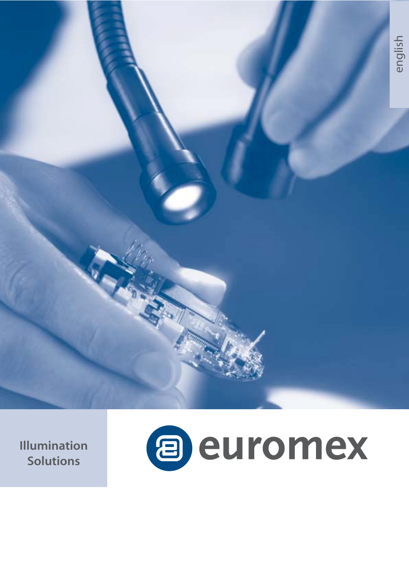**Illumination Solutions**

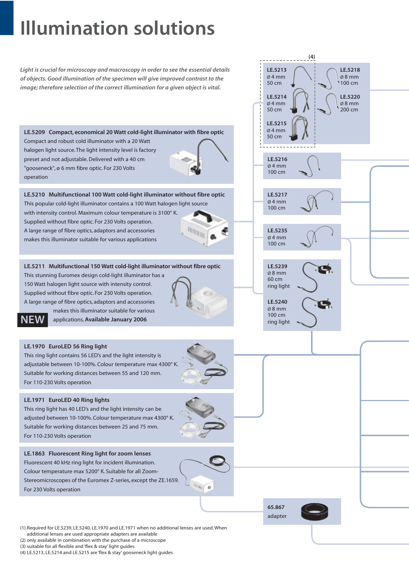# **Illumination solutions**

*Light is crucial for microscopy and macroscopy in order to see the essential details of objects. Good illumination of the specimen will give improved contrast to the image; therefore selection of the correct illumination for a given object is vital.*

**LE.5209 Compact, economical 20 Watt cold-light illuminator with fibre optic** Compact and robust cold illuminator with a 20 Watt halogen light source. The light intensity level is factory preset and not adjustable. Delivered with a 40 cm "gooseneck", ø 6 mm fibre optic. For 230 Volts operation

**LE.5210 Multifunctional 100 Watt cold-light illuminator without fibre optic** This popular cold-light illuminator contains a 100 Watt halogen light source with intensity control. Maximum colour temperature is 3100° K. Supplied without fibre optic. For 230 Volts operation.  $m_{\rm H_{II}}$ A large range of fibre optics, adaptors and accessories makes this illuminator suitable for various applications

## **LE.5211 Multifunctional 150 Watt cold-light illuminator without fibre optic**

This stunning Euromex design cold-light illuminator has a 150 Watt halogen light source with intensity control. Supplied without fibre optic. For 230 Volts operation. A large range of fibre optics, adaptors and accessories makes this illuminator suitable for various

**NEW**

applications.**Available January 2006**

## **LE.1970 EuroLED 56 Ring light**

This ring light contains 56 LED's and the light intensity is adjustable between 10-100%. Colour temperature max 4300° K. Suitable for working distances between 55 and 120 mm. For 110-230 Volts operation

## **LE.1971 EuroLED 40 Ring lights**

This ring light has 40 LED's and the light intensity can be adjusted between 10-100%. Colour temperature max 4300° K. Suitable for working distances between 25 and 75 mm. For 110-230 Volts operation

**LE.1863 Fluorescent Ring light for zoom lenses** Fluorescent 40 kHz ring light for incident illumination. Colour temperature max 5200° K. Suitable for all Zoom-Stereomicroscopes of the Euromex Z-series, except the ZE.1659. For 230 Volts operation



**65.867** adapter

**LE.5213** Ø 4 mm 50 cm **LE.5214** Ø 4 mm 50 cm

**(4)**

**LE.5218** Ø 8 mm 100 cm **LE.5220**  $Ø$  8 mm 200 cm

**LE.5215** Ø 4 mm 50 cm

**LE.5216**  $Q$  4 mm 100 cm

**LE.5217** Ø 4 mm 100 cm

**LE.5235** Ø 4 mm 100 cm

**LE.5239** Ø 8 mm 60 cm ring light

**LE.5240** Ø 8 mm 100 cm ring light



(1) Required for LE.5239, LE.5240, LE.1970 and LE.1971 when no additional lenses are used. When additional lenses are used appropriate adapters are available

- (2) only available in combination with the purchase of a microscope (3) suitable for all flexible and 'flex & stay' light guides
- (4) LE.5213, LE.5214 and LE.5215 are 'flex & stay' gooseneck light guides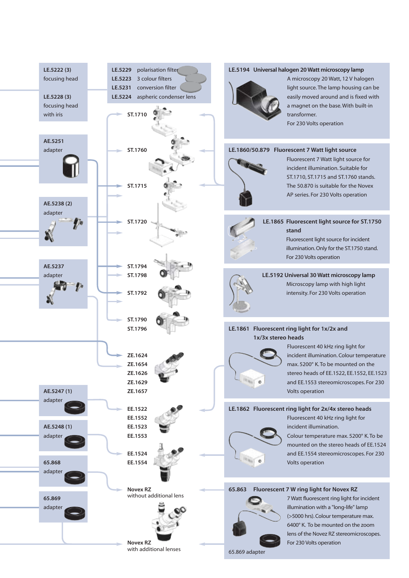